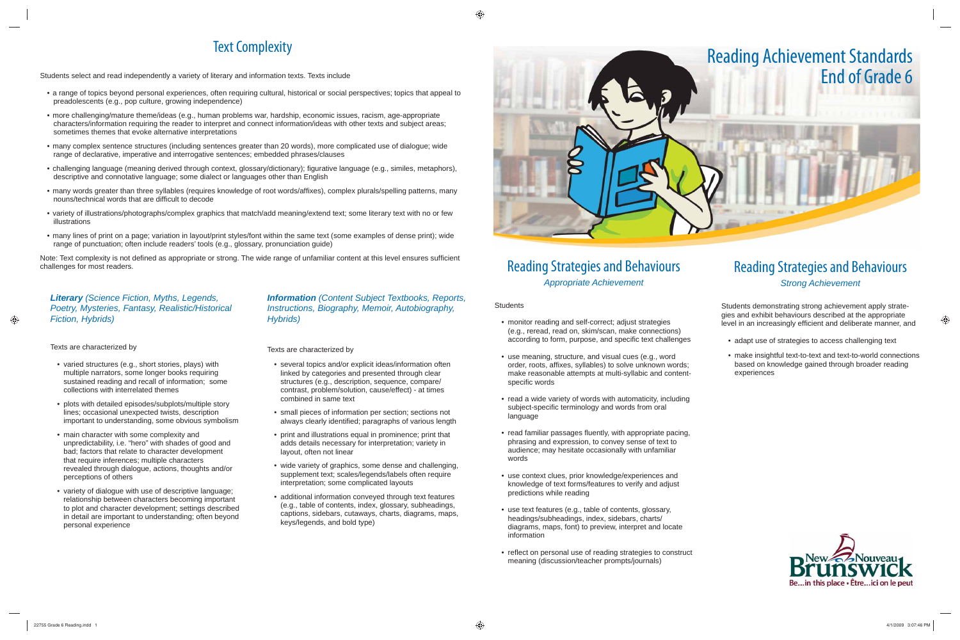## Text Complexity

Students select and read independently a variety of literary and information texts. Texts include

- a range of topics beyond personal experiences, often requiring cultural, historical or social perspectives; topics that appeal to preadolescents (e.g., pop culture, growing independence)
- more challenging/mature theme/ideas (e.g., human problems war, hardship, economic issues, racism, age-appropriate characters/information requiring the reader to interpret and connect information/ideas with other texts and subject areas; sometimes themes that evoke alternative interpretations
- many complex sentence structures (including sentences greater than 20 words), more complicated use of dialogue; wide range of declarative, imperative and interrogative sentences; embedded phrases/clauses
- challenging language (meaning derived through context, glossary/dictionary); figurative language (e.g., similes, metaphors), descriptive and connotative language; some dialect or languages other than English
- many words greater than three syllables (requires knowledge of root words/affixes), complex plurals/spelling patterns, many nouns/technical words that are difficult to decode
- variety of illustrations/photographs/complex graphics that match/add meaning/extend text; some literary text with no or few illustrations
- many lines of print on a page; variation in layout/print styles/font within the same text (some examples of dense print); wide range of punctuation; often include readers' tools (e.g., glossary, pronunciation guide)

Note: Text complexity is not defined as appropriate or strong. The wide range of unfamiliar content at this level ensures sufficient challenges for most readers.

> *Information (Content Subject Textbooks, Reports, Instructions, Biography, Memoir, Autobiography, Hybrids)*

Texts are characterized by

- several topics and/or explicit ideas/information often linked by categories and presented through clear structures (e.g., description, sequence, compare/ contrast, problem/solution, cause/effect) - at times combined in same text
- small pieces of information per section; sections not always clearly identified; paragraphs of various length
- print and illustrations equal in prominence; print that adds details necessary for interpretation; variety in layout, often not linear
- wide variety of graphics, some dense and challenging, supplement text; scales/legends/labels often require interpretation; some complicated layouts
- additional information conveyed through text features (e.g., table of contents, index, glossary, subheadings, captions, sidebars, cutaways, charts, diagrams, maps, keys/legends, and bold type)



## Reading Strategies and Behaviours *Appropriate Achievement*

**Students** 

- monitor reading and self-correct; adjust strategies (e.g., reread, read on, skim/scan, make connections) according to form, purpose, and specific text challenges
- use meaning, structure, and visual cues (e.g., word order, roots, affixes, syllables) to solve unknown words; make reasonable attempts at multi-syllabic and contentspecific words
- read a wide variety of words with automaticity, including subject-specific terminology and words from oral language
- read familiar passages fluently, with appropriate pacing, phrasing and expression, to convey sense of text to audience; may hesitate occasionally with unfamiliar words
- use context clues, prior knowledge/experiences and knowledge of text forms/features to verify and adjust predictions while reading
- use text features (e.g., table of contents, glossary, headings/subheadings, index, sidebars, charts/ diagrams, maps, font) to preview, interpret and locate information
- reflect on personal use of reading strategies to construct meaning (discussion/teacher prompts/journals)

## Reading Strategies and Behaviours *Strong Achievement*

Students demonstrating strong achievement apply strategies and exhibit behaviours described at the appropriate level in an increasingly efficient and deliberate manner, and

- adapt use of strategies to access challenging text
- make insightful text-to-text and text-to-world connections based on knowledge gained through broader reading experiences



### *Literary (Science Fiction, Myths, Legends, Poetry, Mysteries, Fantasy, Realistic/Historical Fiction, Hybrids)*

Texts are characterized by

- varied structures (e.g., short stories, plays) with multiple narrators, some longer books requiring sustained reading and recall of information; some collections with interrelated themes
- plots with detailed episodes/subplots/multiple story lines; occasional unexpected twists, description important to understanding, some obvious symbolism
- main character with some complexity and unpredictability, i.e. "hero" with shades of good and bad; factors that relate to character development that require inferences; multiple characters revealed through dialogue, actions, thoughts and/or perceptions of others
- variety of dialogue with use of descriptive language; relationship between characters becoming important to plot and character development; settings described in detail are important to understanding; often beyond personal experience